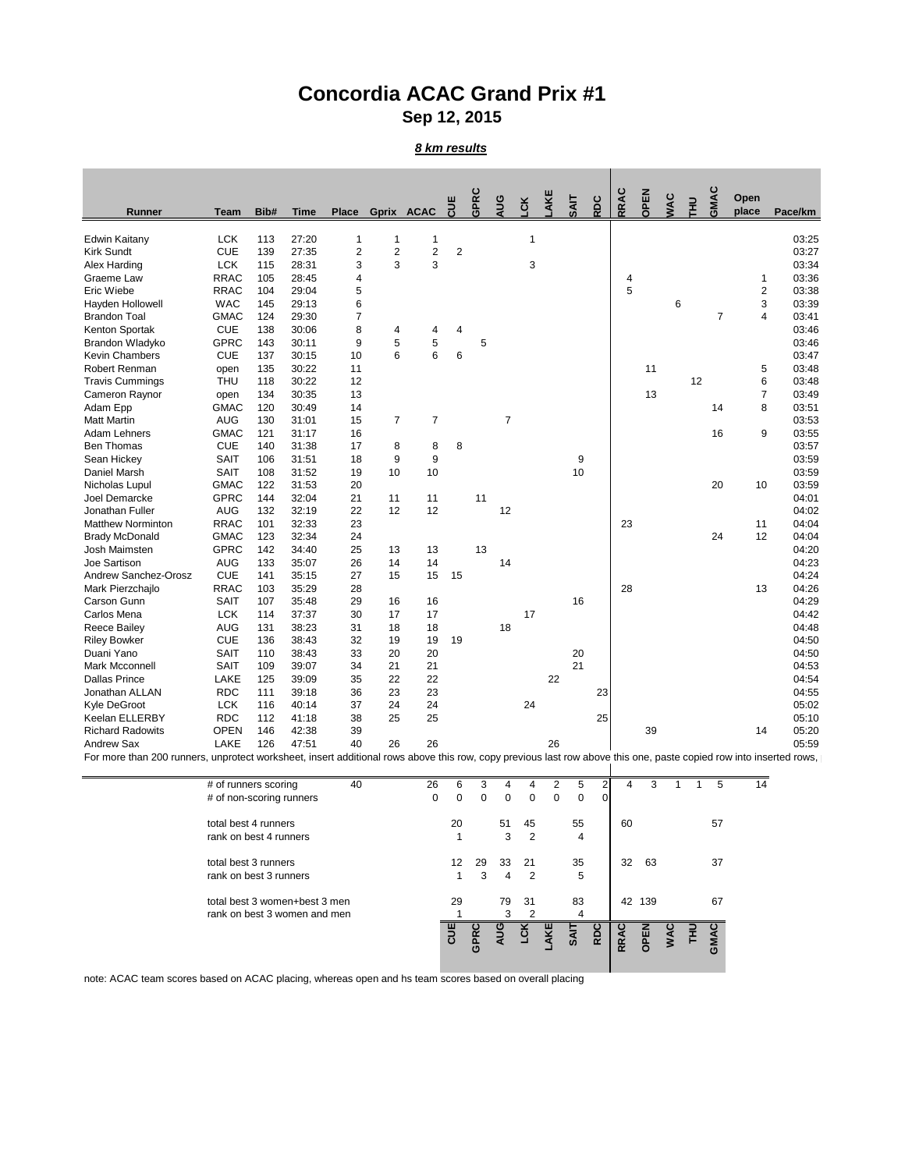## **Concordia ACAC Grand Prix #1 Sep 12, 2015**

## *8 km results*

| <b>Runner</b>                                                                                                                                                      | <b>Team</b>                                    | Bib# | <b>Time</b> | <b>Place</b>   |                  | Gprix ACAC       | CUE              | <b>GPRC</b> | AUG            | <b>CK</b>      | AKE            | SAIT        | <b>RDC</b>     | RRAC | OPEN   | <b>WAC</b>  | E  | GMAC | Open<br>place  | Pace/km |
|--------------------------------------------------------------------------------------------------------------------------------------------------------------------|------------------------------------------------|------|-------------|----------------|------------------|------------------|------------------|-------------|----------------|----------------|----------------|-------------|----------------|------|--------|-------------|----|------|----------------|---------|
|                                                                                                                                                                    |                                                |      |             |                |                  |                  |                  |             |                |                |                |             |                |      |        |             |    |      |                |         |
| <b>Edwin Kaitany</b>                                                                                                                                               | <b>LCK</b>                                     | 113  | 27:20       | 1              | 1                | 1                |                  |             |                | 1              |                |             |                |      |        |             |    |      |                | 03:25   |
| <b>Kirk Sundt</b>                                                                                                                                                  | <b>CUE</b>                                     | 139  | 27:35       | $\overline{c}$ | $\boldsymbol{2}$ | $\overline{c}$   | $\boldsymbol{2}$ |             |                |                |                |             |                |      |        |             |    |      |                | 03:27   |
| Alex Harding                                                                                                                                                       | <b>LCK</b>                                     | 115  | 28:31       | 3              | $\overline{3}$   | 3                |                  |             |                | 3              |                |             |                |      |        |             |    |      |                | 03:34   |
| Graeme Law                                                                                                                                                         | <b>RRAC</b>                                    | 105  | 28:45       | 4              |                  |                  |                  |             |                |                |                |             |                | 4    |        |             |    |      | 1              | 03:36   |
| Eric Wiebe                                                                                                                                                         | <b>RRAC</b>                                    | 104  | 29:04       | 5              |                  |                  |                  |             |                |                |                |             |                | 5    |        |             |    |      | $\overline{c}$ | 03:38   |
| Hayden Hollowell                                                                                                                                                   | <b>WAC</b>                                     | 145  | 29:13       | 6              |                  |                  |                  |             |                |                |                |             |                |      |        | 6           |    |      | 3              | 03:39   |
| <b>Brandon Toal</b>                                                                                                                                                | <b>GMAC</b>                                    | 124  | 29:30       | $\overline{7}$ |                  |                  |                  |             |                |                |                |             |                |      |        |             |    | 7    | 4              | 03:41   |
| Kenton Sportak                                                                                                                                                     | <b>CUE</b>                                     | 138  | 30:06       | 8              | 4                | 4                | 4                |             |                |                |                |             |                |      |        |             |    |      |                | 03:46   |
| Brandon Wladyko                                                                                                                                                    | <b>GPRC</b>                                    | 143  | 30:11       | 9              | 5                | 5                |                  | 5           |                |                |                |             |                |      |        |             |    |      |                | 03:46   |
| <b>Kevin Chambers</b>                                                                                                                                              | <b>CUE</b>                                     | 137  | 30:15       | 10             | 6                | 6                | $\,6$            |             |                |                |                |             |                |      |        |             |    |      |                | 03:47   |
| Robert Renman                                                                                                                                                      | open                                           | 135  | 30:22       | 11             |                  |                  |                  |             |                |                |                |             |                |      | 11     |             |    |      | 5              | 03:48   |
| <b>Travis Cummings</b>                                                                                                                                             | <b>THU</b>                                     | 118  | 30:22       | 12             |                  |                  |                  |             |                |                |                |             |                |      |        |             | 12 |      | 6              | 03:48   |
| Cameron Raynor                                                                                                                                                     | open                                           | 134  | 30:35       | 13             |                  |                  |                  |             |                |                |                |             |                |      | 13     |             |    |      | $\overline{7}$ | 03:49   |
| Adam Epp                                                                                                                                                           | <b>GMAC</b>                                    | 120  | 30:49       | 14             |                  |                  |                  |             |                |                |                |             |                |      |        |             |    | 14   | 8              | 03:51   |
| <b>Matt Martin</b>                                                                                                                                                 | <b>AUG</b>                                     | 130  | 31:01       | 15             | $\overline{7}$   | $\overline{7}$   |                  |             | $\overline{7}$ |                |                |             |                |      |        |             |    |      |                | 03:53   |
| Adam Lehners                                                                                                                                                       | <b>GMAC</b>                                    | 121  | 31:17       | 16             |                  |                  |                  |             |                |                |                |             |                |      |        |             |    | 16   | 9              | 03:55   |
| Ben Thomas                                                                                                                                                         | <b>CUE</b>                                     | 140  | 31:38       | 17             | 8                | 8                | 8                |             |                |                |                |             |                |      |        |             |    |      |                | 03:57   |
| Sean Hickey                                                                                                                                                        | <b>SAIT</b>                                    | 106  | 31:51       | 18             | 9                | $\boldsymbol{9}$ |                  |             |                |                |                | 9           |                |      |        |             |    |      |                | 03:59   |
| Daniel Marsh                                                                                                                                                       | <b>SAIT</b>                                    | 108  | 31:52       | 19             | 10               | 10               |                  |             |                |                |                | 10          |                |      |        |             |    |      |                | 03:59   |
| Nicholas Lupul                                                                                                                                                     | <b>GMAC</b>                                    | 122  | 31:53       | 20             |                  |                  |                  |             |                |                |                |             |                |      |        |             |    | 20   | 10             | 03:59   |
| Joel Demarcke                                                                                                                                                      | <b>GPRC</b>                                    | 144  | 32:04       | 21             | 11               | 11               |                  | 11          |                |                |                |             |                |      |        |             |    |      |                | 04:01   |
| Jonathan Fuller                                                                                                                                                    | <b>AUG</b>                                     | 132  | 32:19       | 22             | 12               | 12               |                  |             | 12             |                |                |             |                |      |        |             |    |      |                | 04:02   |
| <b>Matthew Norminton</b>                                                                                                                                           | <b>RRAC</b>                                    | 101  | 32:33       | 23             |                  |                  |                  |             |                |                |                |             |                | 23   |        |             |    |      | 11             | 04:04   |
| <b>Brady McDonald</b>                                                                                                                                              | <b>GMAC</b>                                    | 123  | 32:34       | 24             |                  |                  |                  |             |                |                |                |             |                |      |        |             |    | 24   | 12             | 04:04   |
| Josh Maimsten                                                                                                                                                      | <b>GPRC</b>                                    |      |             |                |                  |                  |                  | 13          |                |                |                |             |                |      |        |             |    |      |                | 04:20   |
|                                                                                                                                                                    |                                                | 142  | 34:40       | 25             | 13               | 13               |                  |             |                |                |                |             |                |      |        |             |    |      |                |         |
| Joe Sartison                                                                                                                                                       | <b>AUG</b><br><b>CUE</b>                       | 133  | 35:07       | 26             | 14               | 14               |                  |             | 14             |                |                |             |                |      |        |             |    |      |                | 04:23   |
| <b>Andrew Sanchez-Orosz</b>                                                                                                                                        |                                                | 141  | 35:15       | 27             | 15               | 15               | 15               |             |                |                |                |             |                |      |        |             |    |      |                | 04:24   |
| Mark Pierzchajlo                                                                                                                                                   | <b>RRAC</b>                                    | 103  | 35:29       | 28             |                  |                  |                  |             |                |                |                |             |                | 28   |        |             |    |      | 13             | 04:26   |
| Carson Gunn                                                                                                                                                        | <b>SAIT</b>                                    | 107  | 35:48       | 29             | 16               | 16               |                  |             |                |                |                | 16          |                |      |        |             |    |      |                | 04:29   |
| Carlos Mena                                                                                                                                                        | <b>LCK</b>                                     | 114  | 37:37       | 30             | 17               | 17               |                  |             |                | 17             |                |             |                |      |        |             |    |      |                | 04:42   |
| <b>Reece Bailey</b>                                                                                                                                                | <b>AUG</b>                                     | 131  | 38:23       | 31             | 18               | 18               |                  |             | 18             |                |                |             |                |      |        |             |    |      |                | 04:48   |
| <b>Riley Bowker</b>                                                                                                                                                | <b>CUE</b>                                     | 136  | 38:43       | 32             | 19               | 19               | 19               |             |                |                |                |             |                |      |        |             |    |      |                | 04:50   |
| Duani Yano                                                                                                                                                         | <b>SAIT</b>                                    | 110  | 38:43       | 33             | 20               | 20               |                  |             |                |                |                | 20          |                |      |        |             |    |      |                | 04:50   |
| Mark Mcconnell                                                                                                                                                     | <b>SAIT</b>                                    | 109  | 39:07       | 34             | 21               | 21               |                  |             |                |                |                | 21          |                |      |        |             |    |      |                | 04:53   |
| <b>Dallas Prince</b>                                                                                                                                               | LAKE                                           | 125  | 39:09       | 35             | 22               | 22               |                  |             |                |                | 22             |             |                |      |        |             |    |      |                | 04:54   |
| Jonathan ALLAN                                                                                                                                                     | <b>RDC</b>                                     | 111  | 39:18       | 36             | 23               | 23               |                  |             |                |                |                |             | 23             |      |        |             |    |      |                | 04:55   |
| Kyle DeGroot                                                                                                                                                       | <b>LCK</b>                                     | 116  | 40:14       | 37             | 24               | 24               |                  |             |                | 24             |                |             |                |      |        |             |    |      |                | 05:02   |
| Keelan ELLERBY                                                                                                                                                     | <b>RDC</b>                                     | 112  | 41:18       | 38             | 25               | 25               |                  |             |                |                |                |             | 25             |      |        |             |    |      |                | 05:10   |
| <b>Richard Radowits</b>                                                                                                                                            | <b>OPEN</b>                                    | 146  | 42:38       | 39             |                  |                  |                  |             |                |                |                |             |                |      | 39     |             |    |      | 14             | 05:20   |
| <b>Andrew Sax</b>                                                                                                                                                  | <b>LAKE</b>                                    | 126  | 47:51       | 40             | 26               | 26               |                  |             |                |                | 26             |             |                |      |        |             |    |      |                | 05:59   |
| For more than 200 runners, unprotect worksheet, insert additional rows above this row, copy previous last row above this one, paste copied row into inserted rows, |                                                |      |             |                |                  |                  |                  |             |                |                |                |             |                |      |        |             |    |      |                |         |
|                                                                                                                                                                    | # of runners scoring                           |      |             | 40             |                  | 26               | 6                | 3           | 4              | 4              | $\overline{2}$ | 5           | $\overline{2}$ | 4    | 3      | $\mathbf 1$ | -1 | 5    | 14             |         |
|                                                                                                                                                                    | # of non-scoring runners                       |      |             |                |                  | $\mathbf 0$      | $\mathbf 0$      | $\mathbf 0$ | $\mathbf 0$    | $\mathbf 0$    | $\pmb{0}$      | $\mathbf 0$ | $\Omega$       |      |        |             |    |      |                |         |
|                                                                                                                                                                    |                                                |      |             |                |                  |                  |                  |             |                |                |                |             |                |      |        |             |    |      |                |         |
|                                                                                                                                                                    | total best 4 runners<br>rank on best 4 runners |      |             |                |                  |                  | 20               |             | 51             | 45             |                | 55          |                | 60   |        |             |    | 57   |                |         |
|                                                                                                                                                                    |                                                |      |             |                |                  |                  | $\mathbf 1$      |             | 3              | 2              |                | 4           |                |      |        |             |    |      |                |         |
|                                                                                                                                                                    | total best 3 runners                           |      |             |                |                  |                  | 12               | 29          | 33             | 21             |                | 35          |                | 32   | 63     |             |    | 37   |                |         |
|                                                                                                                                                                    | rank on best 3 runners                         |      |             |                |                  |                  | 1                | 3           | 4              | $\overline{2}$ |                | 5           |                |      |        |             |    |      |                |         |
|                                                                                                                                                                    | total best 3 women+best 3 men                  |      |             |                |                  |                  | 29               |             | 79             | 31             |                | 83          |                |      | 42 139 |             |    | 67   |                |         |



note: ACAC team scores based on ACAC placing, whereas open and hs team scores based on overall placing

rank on best 3 women and men  $\qquad \qquad$   $\qquad \qquad$  1  $\qquad \qquad$  3 2  $\qquad \qquad$  4